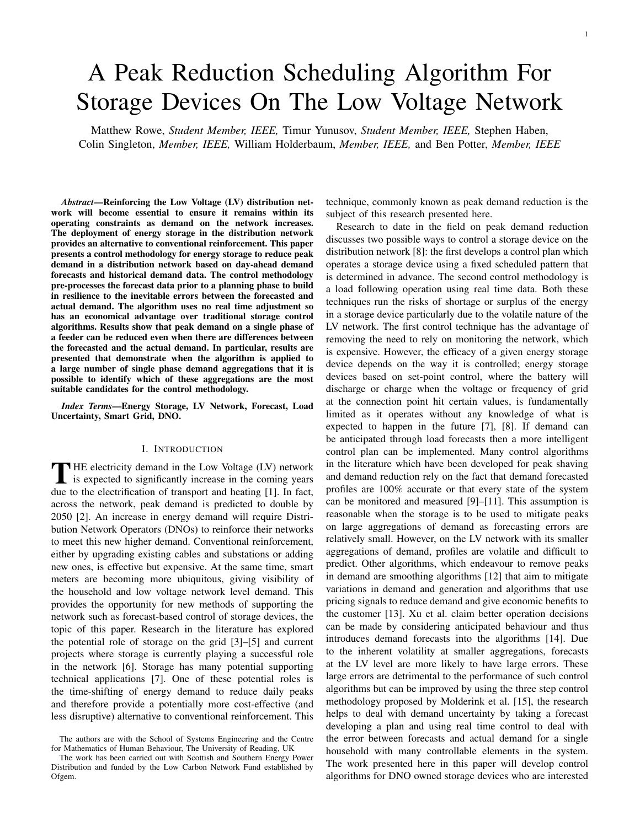# A Peak Reduction Scheduling Algorithm For Storage Devices On The Low Voltage Network

Matthew Rowe, *Student Member, IEEE,* Timur Yunusov, *Student Member, IEEE,* Stephen Haben, Colin Singleton, *Member, IEEE,* William Holderbaum, *Member, IEEE,* and Ben Potter, *Member, IEEE*

*Abstract*—Reinforcing the Low Voltage (LV) distribution network will become essential to ensure it remains within its operating constraints as demand on the network increases. The deployment of energy storage in the distribution network provides an alternative to conventional reinforcement. This paper presents a control methodology for energy storage to reduce peak demand in a distribution network based on day-ahead demand forecasts and historical demand data. The control methodology pre-processes the forecast data prior to a planning phase to build in resilience to the inevitable errors between the forecasted and actual demand. The algorithm uses no real time adjustment so has an economical advantage over traditional storage control algorithms. Results show that peak demand on a single phase of a feeder can be reduced even when there are differences between the forecasted and the actual demand. In particular, results are presented that demonstrate when the algorithm is applied to a large number of single phase demand aggregations that it is possible to identify which of these aggregations are the most suitable candidates for the control methodology.

*Index Terms*—Energy Storage, LV Network, Forecast, Load Uncertainty, Smart Grid, DNO.

## I. INTRODUCTION

THE electricity demand in the Low Voltage  $(LV)$  network<br>is expected to significantly increase in the coming years **HE** electricity demand in the Low Voltage (LV) network due to the electrification of transport and heating [1]. In fact, across the network, peak demand is predicted to double by 2050 [2]. An increase in energy demand will require Distribution Network Operators (DNOs) to reinforce their networks to meet this new higher demand. Conventional reinforcement, either by upgrading existing cables and substations or adding new ones, is effective but expensive. At the same time, smart meters are becoming more ubiquitous, giving visibility of the household and low voltage network level demand. This provides the opportunity for new methods of supporting the network such as forecast-based control of storage devices, the topic of this paper. Research in the literature has explored the potential role of storage on the grid [3]–[5] and current projects where storage is currently playing a successful role in the network [6]. Storage has many potential supporting technical applications [7]. One of these potential roles is the time-shifting of energy demand to reduce daily peaks and therefore provide a potentially more cost-effective (and less disruptive) alternative to conventional reinforcement. This

technique, commonly known as peak demand reduction is the subject of this research presented here.

Research to date in the field on peak demand reduction discusses two possible ways to control a storage device on the distribution network [8]: the first develops a control plan which operates a storage device using a fixed scheduled pattern that is determined in advance. The second control methodology is a load following operation using real time data. Both these techniques run the risks of shortage or surplus of the energy in a storage device particularly due to the volatile nature of the LV network. The first control technique has the advantage of removing the need to rely on monitoring the network, which is expensive. However, the efficacy of a given energy storage device depends on the way it is controlled; energy storage devices based on set-point control, where the battery will discharge or charge when the voltage or frequency of grid at the connection point hit certain values, is fundamentally limited as it operates without any knowledge of what is expected to happen in the future [7], [8]. If demand can be anticipated through load forecasts then a more intelligent control plan can be implemented. Many control algorithms in the literature which have been developed for peak shaving and demand reduction rely on the fact that demand forecasted profiles are 100% accurate or that every state of the system can be monitored and measured [9]–[11]. This assumption is reasonable when the storage is to be used to mitigate peaks on large aggregations of demand as forecasting errors are relatively small. However, on the LV network with its smaller aggregations of demand, profiles are volatile and difficult to predict. Other algorithms, which endeavour to remove peaks in demand are smoothing algorithms [12] that aim to mitigate variations in demand and generation and algorithms that use pricing signals to reduce demand and give economic benefits to the customer [13]. Xu et al. claim better operation decisions can be made by considering anticipated behaviour and thus introduces demand forecasts into the algorithms [14]. Due to the inherent volatility at smaller aggregations, forecasts at the LV level are more likely to have large errors. These large errors are detrimental to the performance of such control algorithms but can be improved by using the three step control methodology proposed by Molderink et al. [15], the research helps to deal with demand uncertainty by taking a forecast developing a plan and using real time control to deal with the error between forecasts and actual demand for a single household with many controllable elements in the system. The work presented here in this paper will develop control algorithms for DNO owned storage devices who are interested

The authors are with the School of Systems Engineering and the Centre for Mathematics of Human Behaviour, The University of Reading, UK

The work has been carried out with Scottish and Southern Energy Power Distribution and funded by the Low Carbon Network Fund established by Ofgem.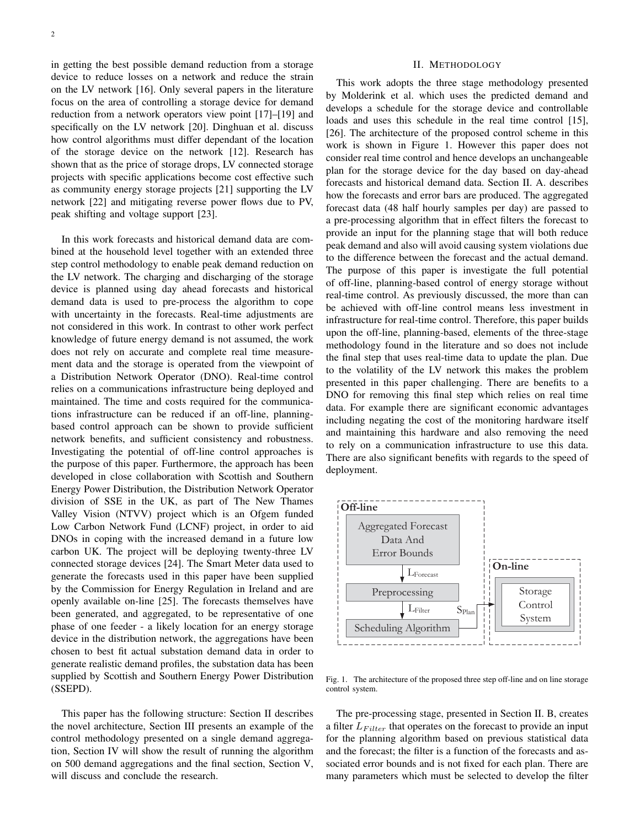in getting the best possible demand reduction from a storage device to reduce losses on a network and reduce the strain on the LV network [16]. Only several papers in the literature focus on the area of controlling a storage device for demand reduction from a network operators view point [17]–[19] and specifically on the LV network [20]. Dinghuan et al. discuss how control algorithms must differ dependant of the location of the storage device on the network [12]. Research has shown that as the price of storage drops, LV connected storage projects with specific applications become cost effective such as community energy storage projects [21] supporting the LV network [22] and mitigating reverse power flows due to PV, peak shifting and voltage support [23].

In this work forecasts and historical demand data are combined at the household level together with an extended three step control methodology to enable peak demand reduction on the LV network. The charging and discharging of the storage device is planned using day ahead forecasts and historical demand data is used to pre-process the algorithm to cope with uncertainty in the forecasts. Real-time adjustments are not considered in this work. In contrast to other work perfect knowledge of future energy demand is not assumed, the work does not rely on accurate and complete real time measurement data and the storage is operated from the viewpoint of a Distribution Network Operator (DNO). Real-time control relies on a communications infrastructure being deployed and maintained. The time and costs required for the communications infrastructure can be reduced if an off-line, planningbased control approach can be shown to provide sufficient network benefits, and sufficient consistency and robustness. Investigating the potential of off-line control approaches is the purpose of this paper. Furthermore, the approach has been developed in close collaboration with Scottish and Southern Energy Power Distribution, the Distribution Network Operator division of SSE in the UK, as part of The New Thames Valley Vision (NTVV) project which is an Ofgem funded Low Carbon Network Fund (LCNF) project, in order to aid DNOs in coping with the increased demand in a future low carbon UK. The project will be deploying twenty-three LV connected storage devices [24]. The Smart Meter data used to generate the forecasts used in this paper have been supplied by the Commission for Energy Regulation in Ireland and are openly available on-line [25]. The forecasts themselves have been generated, and aggregated, to be representative of one phase of one feeder - a likely location for an energy storage device in the distribution network, the aggregations have been chosen to best fit actual substation demand data in order to generate realistic demand profiles, the substation data has been supplied by Scottish and Southern Energy Power Distribution (SSEPD).

This paper has the following structure: Section II describes the novel architecture, Section III presents an example of the control methodology presented on a single demand aggregation, Section IV will show the result of running the algorithm on 500 demand aggregations and the final section, Section V, will discuss and conclude the research.

#### II. METHODOLOGY

This work adopts the three stage methodology presented by Molderink et al. which uses the predicted demand and develops a schedule for the storage device and controllable loads and uses this schedule in the real time control [15], [26]. The architecture of the proposed control scheme in this work is shown in Figure 1. However this paper does not consider real time control and hence develops an unchangeable plan for the storage device for the day based on day-ahead forecasts and historical demand data. Section II. A. describes how the forecasts and error bars are produced. The aggregated forecast data (48 half hourly samples per day) are passed to a pre-processing algorithm that in effect filters the forecast to provide an input for the planning stage that will both reduce peak demand and also will avoid causing system violations due to the difference between the forecast and the actual demand. The purpose of this paper is investigate the full potential of off-line, planning-based control of energy storage without real-time control. As previously discussed, the more than can be achieved with off-line control means less investment in infrastructure for real-time control. Therefore, this paper builds upon the off-line, planning-based, elements of the three-stage methodology found in the literature and so does not include the final step that uses real-time data to update the plan. Due to the volatility of the LV network this makes the problem presented in this paper challenging. There are benefits to a DNO for removing this final step which relies on real time data. For example there are significant economic advantages including negating the cost of the monitoring hardware itself and maintaining this hardware and also removing the need to rely on a communication infrastructure to use this data. There are also significant benefits with regards to the speed of deployment.



Fig. 1. The architecture of the proposed three step off-line and on line storage control system.

The pre-processing stage, presented in Section II. B, creates a filter  $L_{Filter}$  that operates on the forecast to provide an input for the planning algorithm based on previous statistical data and the forecast; the filter is a function of the forecasts and associated error bounds and is not fixed for each plan. There are many parameters which must be selected to develop the filter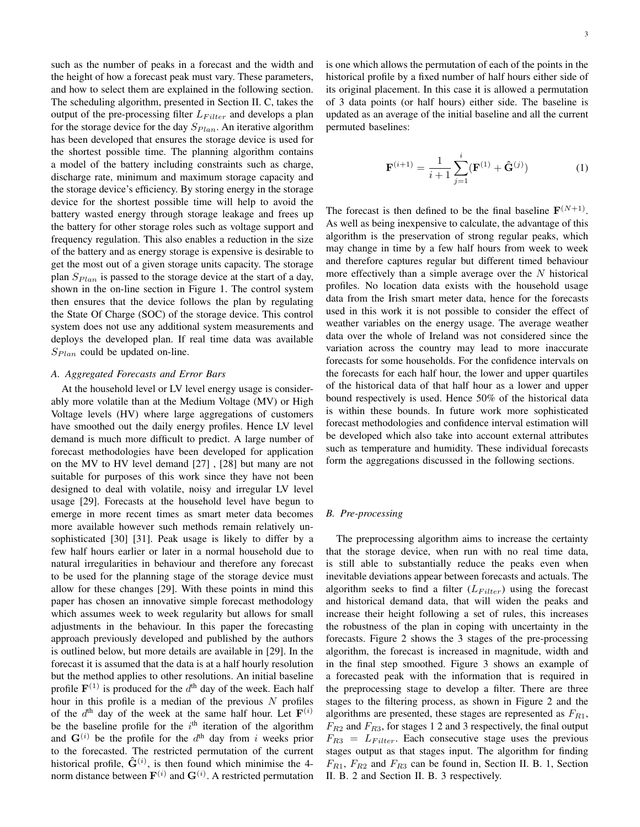such as the number of peaks in a forecast and the width and the height of how a forecast peak must vary. These parameters, and how to select them are explained in the following section. The scheduling algorithm, presented in Section II. C, takes the output of the pre-processing filter  $L_{Filter}$  and develops a plan for the storage device for the day  $Sp_{lan}$ . An iterative algorithm has been developed that ensures the storage device is used for the shortest possible time. The planning algorithm contains a model of the battery including constraints such as charge, discharge rate, minimum and maximum storage capacity and the storage device's efficiency. By storing energy in the storage device for the shortest possible time will help to avoid the battery wasted energy through storage leakage and frees up the battery for other storage roles such as voltage support and frequency regulation. This also enables a reduction in the size of the battery and as energy storage is expensive is desirable to get the most out of a given storage units capacity. The storage plan  $Sp_{lan}$  is passed to the storage device at the start of a day, shown in the on-line section in Figure 1. The control system then ensures that the device follows the plan by regulating the State Of Charge (SOC) of the storage device. This control system does not use any additional system measurements and deploys the developed plan. If real time data was available  $Sp<sub>lan</sub>$  could be updated on-line.

#### *A. Aggregated Forecasts and Error Bars*

At the household level or LV level energy usage is considerably more volatile than at the Medium Voltage (MV) or High Voltage levels (HV) where large aggregations of customers have smoothed out the daily energy profiles. Hence LV level demand is much more difficult to predict. A large number of forecast methodologies have been developed for application on the MV to HV level demand [27] , [28] but many are not suitable for purposes of this work since they have not been designed to deal with volatile, noisy and irregular LV level usage [29]. Forecasts at the household level have begun to emerge in more recent times as smart meter data becomes more available however such methods remain relatively unsophisticated [30] [31]. Peak usage is likely to differ by a few half hours earlier or later in a normal household due to natural irregularities in behaviour and therefore any forecast to be used for the planning stage of the storage device must allow for these changes [29]. With these points in mind this paper has chosen an innovative simple forecast methodology which assumes week to week regularity but allows for small adjustments in the behaviour. In this paper the forecasting approach previously developed and published by the authors is outlined below, but more details are available in [29]. In the forecast it is assumed that the data is at a half hourly resolution but the method applies to other resolutions. An initial baseline profile  $\mathbf{F}^{(1)}$  is produced for the  $d^{\text{th}}$  day of the week. Each half hour in this profile is a median of the previous  $N$  profiles of the  $d<sup>th</sup>$  day of the week at the same half hour. Let  $F<sup>(i)</sup>$ be the baseline profile for the  $i<sup>th</sup>$  iteration of the algorithm and  $\mathbf{G}^{(i)}$  be the profile for the  $d^{\text{th}}$  day from i weeks prior to the forecasted. The restricted permutation of the current historical profile,  $\hat{G}^{(i)}$ , is then found which minimise the 4norm distance between  $F^{(i)}$  and  $G^{(i)}$ . A restricted permutation is one which allows the permutation of each of the points in the historical profile by a fixed number of half hours either side of its original placement. In this case it is allowed a permutation of 3 data points (or half hours) either side. The baseline is updated as an average of the initial baseline and all the current permuted baselines:

$$
\mathbf{F}^{(i+1)} = \frac{1}{i+1} \sum_{j=1}^{i} (\mathbf{F}^{(1)} + \hat{\mathbf{G}}^{(j)})
$$
(1)

The forecast is then defined to be the final baseline  $\mathbf{F}^{(N+1)}$ . As well as being inexpensive to calculate, the advantage of this algorithm is the preservation of strong regular peaks, which may change in time by a few half hours from week to week and therefore captures regular but different timed behaviour more effectively than a simple average over the  $N$  historical profiles. No location data exists with the household usage data from the Irish smart meter data, hence for the forecasts used in this work it is not possible to consider the effect of weather variables on the energy usage. The average weather data over the whole of Ireland was not considered since the variation across the country may lead to more inaccurate forecasts for some households. For the confidence intervals on the forecasts for each half hour, the lower and upper quartiles of the historical data of that half hour as a lower and upper bound respectively is used. Hence 50% of the historical data is within these bounds. In future work more sophisticated forecast methodologies and confidence interval estimation will be developed which also take into account external attributes such as temperature and humidity. These individual forecasts form the aggregations discussed in the following sections.

#### *B. Pre-processing*

The preprocessing algorithm aims to increase the certainty that the storage device, when run with no real time data, is still able to substantially reduce the peaks even when inevitable deviations appear between forecasts and actuals. The algorithm seeks to find a filter  $(L_{Filter})$  using the forecast and historical demand data, that will widen the peaks and increase their height following a set of rules, this increases the robustness of the plan in coping with uncertainty in the forecasts. Figure 2 shows the 3 stages of the pre-processing algorithm, the forecast is increased in magnitude, width and in the final step smoothed. Figure 3 shows an example of a forecasted peak with the information that is required in the preprocessing stage to develop a filter. There are three stages to the filtering process, as shown in Figure 2 and the algorithms are presented, these stages are represented as  $F_{R1}$ ,  $F_{R2}$  and  $F_{R3}$ , for stages 1 2 and 3 respectively, the final output  $F_{R3} = L_{Filter}$ . Each consecutive stage uses the previous stages output as that stages input. The algorithm for finding  $F_{R1}$ ,  $F_{R2}$  and  $F_{R3}$  can be found in, Section II. B. 1, Section II. B. 2 and Section II. B. 3 respectively.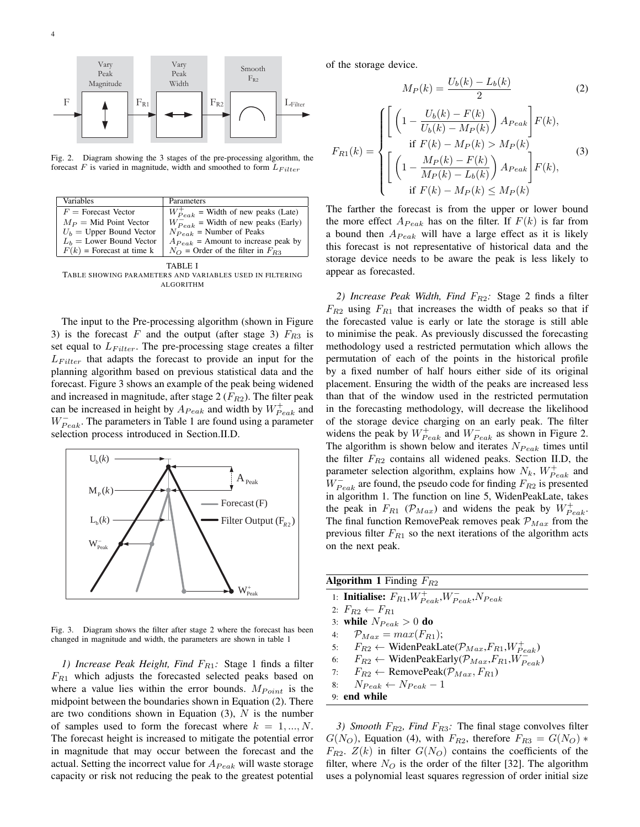

Fig. 2. Diagram showing the 3 stages of the pre-processing algorithm, the forecast  $F$  is varied in magnitude, width and smoothed to form  $L_{Filter}$ 

| Variables                   | Parameters                                |
|-----------------------------|-------------------------------------------|
| $F =$ Forecast Vector       | $W_{Peak}^+$ = Width of new peaks (Late)  |
| $M_P =$ Mid Point Vector    | $W_{Peak}^-$ = Width of new peaks (Early) |
| $U_b$ = Upper Bound Vector  | $N_{Peak}$ = Number of Peaks              |
| $Lb$ = Lower Bound Vector   | $A_{Peak}$ = Amount to increase peak by   |
| $F(k)$ = Forecast at time k | $N_O$ = Order of the filter in $F_{B3}$   |
|                             |                                           |

TABLE I TABLE SHOWING PARAMETERS AND VARIABLES USED IN FILTERING ALGORITHM

The input to the Pre-processing algorithm (shown in Figure 3) is the forecast F and the output (after stage 3)  $F_{R3}$  is set equal to  $L_{Filter}$ . The pre-processing stage creates a filter  $L_{Filter}$  that adapts the forecast to provide an input for the planning algorithm based on previous statistical data and the forecast. Figure 3 shows an example of the peak being widened and increased in magnitude, after stage  $2(F_{R2})$ . The filter peak can be increased in height by  $A_{Peak}$  and width by  $W^+_{Peak}$  and  $W_{Peak}^-$ . The parameters in Table 1 are found using a parameter selection process introduced in Section.II.D.



Fig. 3. Diagram shows the filter after stage 2 where the forecast has been changed in magnitude and width, the parameters are shown in table 1

*1) Increase Peak Height, Find F<sub>R1</sub>:* Stage 1 finds a filter  $F_{R1}$  which adjusts the forecasted selected peaks based on where a value lies within the error bounds.  $M_{Point}$  is the midpoint between the boundaries shown in Equation (2). There are two conditions shown in Equation  $(3)$ , N is the number of samples used to form the forecast where  $k = 1, ..., N$ . The forecast height is increased to mitigate the potential error in magnitude that may occur between the forecast and the actual. Setting the incorrect value for  $A_{Peak}$  will waste storage capacity or risk not reducing the peak to the greatest potential of the storage device.

$$
M_{P}(k) = \frac{U_{b}(k) - L_{b}(k)}{2}
$$
(2)  

$$
F_{R1}(k) = \begin{cases} \left[ \left( 1 - \frac{U_{b}(k) - F(k)}{U_{b}(k) - M_{P}(k)} \right) A_{Peak} \right] F(k), \\ \text{if } F(k) - M_{P}(k) > M_{P}(k) \\ \left[ \left( 1 - \frac{M_{P}(k) - F(k)}{M_{P}(k) - L_{b}(k)} \right) A_{Peak} \right] F(k), \\ \text{if } F(k) - M_{P}(k) \le M_{P}(k) \end{cases}
$$
(3)

The farther the forecast is from the upper or lower bound the more effect  $A_{Peak}$  has on the filter. If  $F(k)$  is far from a bound then  $A_{Peak}$  will have a large effect as it is likely this forecast is not representative of historical data and the storage device needs to be aware the peak is less likely to appear as forecasted.

*2) Increase Peak Width, Find F<sub>R2</sub>:* Stage 2 finds a filter  $F_{R2}$  using  $F_{R1}$  that increases the width of peaks so that if the forecasted value is early or late the storage is still able to minimise the peak. As previously discussed the forecasting methodology used a restricted permutation which allows the permutation of each of the points in the historical profile by a fixed number of half hours either side of its original placement. Ensuring the width of the peaks are increased less than that of the window used in the restricted permutation in the forecasting methodology, will decrease the likelihood of the storage device charging on an early peak. The filter widens the peak by  $W^+_{Peak}$  and  $W^-_{Peak}$  as shown in Figure 2. The algorithm is shown below and iterates  $N_{Peak}$  times until the filter  $F_{R2}$  contains all widened peaks. Section II.D, the parameter selection algorithm, explains how  $N_k$ ,  $W_{Peak}^+$  and  $W_{Peak}^-$  are found, the pseudo code for finding  $F_{R2}$  is presented in algorithm 1. The function on line 5, WidenPeakLate, takes the peak in  $F_{R1}$  ( $\mathcal{P}_{Max}$ ) and widens the peak by  $W_{Peak}^+$ . The final function RemovePeak removes peak  $\mathcal{P}_{Max}$  from the previous filter  $F_{R1}$  so the next iterations of the algorithm acts on the next peak.

| <b>Algorithm 1</b> Finding $F_{R2}$ |                                                                                       |  |
|-------------------------------------|---------------------------------------------------------------------------------------|--|
|                                     | 1: Initialise: $F_{R1}$ , $W_{Peak}^+$ , $W_{Peak}^-$ , $N_{Peak}$                    |  |
|                                     | 2: $F_{B2} \leftarrow F_{B1}$                                                         |  |
|                                     | 3: while $N_{Peak} > 0$ do                                                            |  |
|                                     | 4: $\mathcal{P}_{Max} = max(F_{R1});$                                                 |  |
|                                     | 5: $F_{R2} \leftarrow \text{WidenPeakDate}(\mathcal{P}_{Max}, F_{R1}, W_{P_{eak}}^+)$ |  |
|                                     | 6: $F_{R2} \leftarrow \text{WidenPeakEarly}(\mathcal{P}_{Max}, F_{R1}, W_{Peak}^{-})$ |  |
|                                     | 7: $F_{R2} \leftarrow$ RemovePeak( $\mathcal{P}_{Max}, F_{R1}$ )                      |  |
|                                     | 8: $N_{Peak} \leftarrow N_{Peak} - 1$                                                 |  |
|                                     | $9:$ end while                                                                        |  |
|                                     | 2) Smooth $F =$ $\lim_{\epsilon \to 0}$ $F =$ The final stage convolves filter        |  |

*3)* Smooth  $F_{R2}$ , Find  $F_{R3}$ : The final stage convolves filter  $G(N_O)$ , Equation (4), with  $F_{R2}$ , therefore  $F_{R3} = G(N_O) *$  $F_{R2}$ .  $Z(k)$  in filter  $G(N<sub>O</sub>)$  contains the coefficients of the filter, where  $N_O$  is the order of the filter [32]. The algorithm uses a polynomial least squares regression of order initial size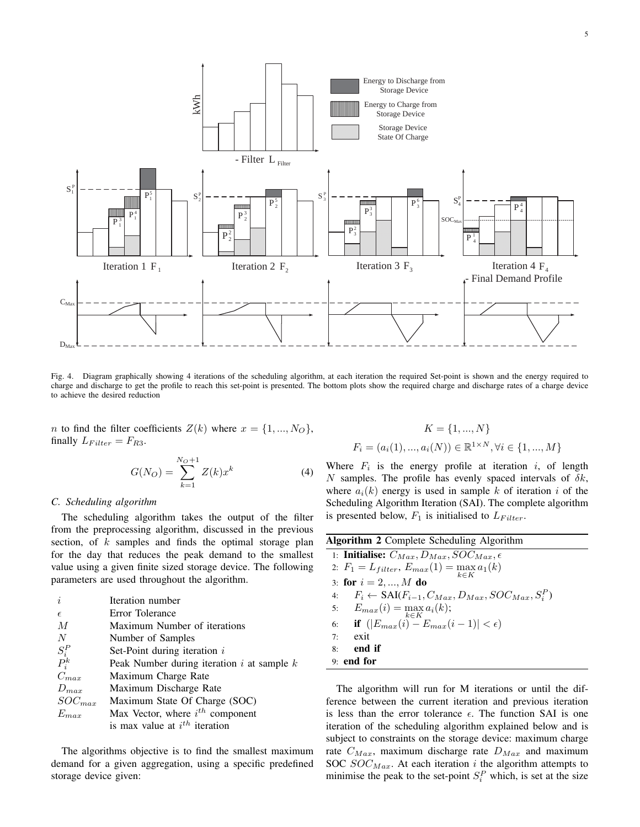

Fig. 4. Diagram graphically showing 4 iterations of the scheduling algorithm, at each iteration the required Set-point is shown and the energy required to charge and discharge to get the profile to reach this set-point is presented. The bottom plots show the required charge and discharge rates of a charge device to achieve the desired reduction

*n* to find the filter coefficients  $Z(k)$  where  $x = \{1, ..., N_O\}$ , finally  $L_{Filter} = F_{R3}$ .

$$
G(N_O) = \sum_{k=1}^{N_O+1} Z(k)x^k
$$
 (4)

## *C. Scheduling algorithm*

The scheduling algorithm takes the output of the filter from the preprocessing algorithm, discussed in the previous section, of  $k$  samples and finds the optimal storage plan for the day that reduces the peak demand to the smallest value using a given finite sized storage device. The following parameters are used throughout the algorithm.

| $\dot{i}$                                     | Iteration number                               |
|-----------------------------------------------|------------------------------------------------|
| $\epsilon$                                    | Error Tolerance                                |
| M                                             | Maximum Number of iterations                   |
| N                                             | Number of Samples                              |
| $\begin{array}{c} S_i^P \\ P_i^k \end{array}$ | Set-Point during iteration $i$                 |
|                                               | Peak Number during iteration $i$ at sample $k$ |
| $C_{max}$                                     | Maximum Charge Rate                            |
| $D_{max}$                                     | Maximum Discharge Rate                         |
| $SOC_{max}$                                   | Maximum State Of Charge (SOC)                  |
| $E_{max}$                                     | Max Vector, where $i^{th}$ component           |
|                                               | is max value at $i^{th}$ iteration             |

The algorithms objective is to find the smallest maximum demand for a given aggregation, using a specific predefined storage device given:

$$
K = \{1, ..., N\}
$$
  

$$
F_i = (a_i(1), ..., a_i(N)) \in \mathbb{R}^{1 \times N}, \forall i \in \{1, ..., M\}
$$

Where  $F_i$  is the energy profile at iteration i, of length N samples. The profile has evenly spaced intervals of  $\delta k$ , where  $a_i(k)$  energy is used in sample k of iteration i of the Scheduling Algorithm Iteration (SAI). The complete algorithm is presented below,  $F_1$  is initialised to  $L_{Filter}$ .

| <b>Algorithm 2</b> Complete Scheduling Algorithm                            |  |  |
|-----------------------------------------------------------------------------|--|--|
| 1: Initialise: $C_{Max}$ , $D_{Max}$ , $SOC_{Max}$ , $\epsilon$             |  |  |
| 2: $F_1 = L_{filter}, E_{max}(1) = \max_{k \in K} a_1(k)$                   |  |  |
| 3: for $i = 2, , M$ do                                                      |  |  |
| 4: $F_i \leftarrow \text{SAI}(F_{i-1}, C_{Max}, D_{Max}, SOC_{Max}, S_i^P)$ |  |  |
| 5: $E_{max}(i) = \max_{k \in K} a_i(k);$                                    |  |  |
| 6: <b>if</b> $( E_{max}(i) - E_{max}(i-1)  < \epsilon)$                     |  |  |
| exit<br>7:                                                                  |  |  |
| end if<br>8:                                                                |  |  |
| $9:$ end for                                                                |  |  |

The algorithm will run for M iterations or until the difference between the current iteration and previous iteration is less than the error tolerance  $\epsilon$ . The function SAI is one iteration of the scheduling algorithm explained below and is subject to constraints on the storage device: maximum charge rate  $C_{Max}$ , maximum discharge rate  $D_{Max}$  and maximum SOC  $SOC_{Max}$ . At each iteration i the algorithm attempts to minimise the peak to the set-point  $S_i^P$  which, is set at the size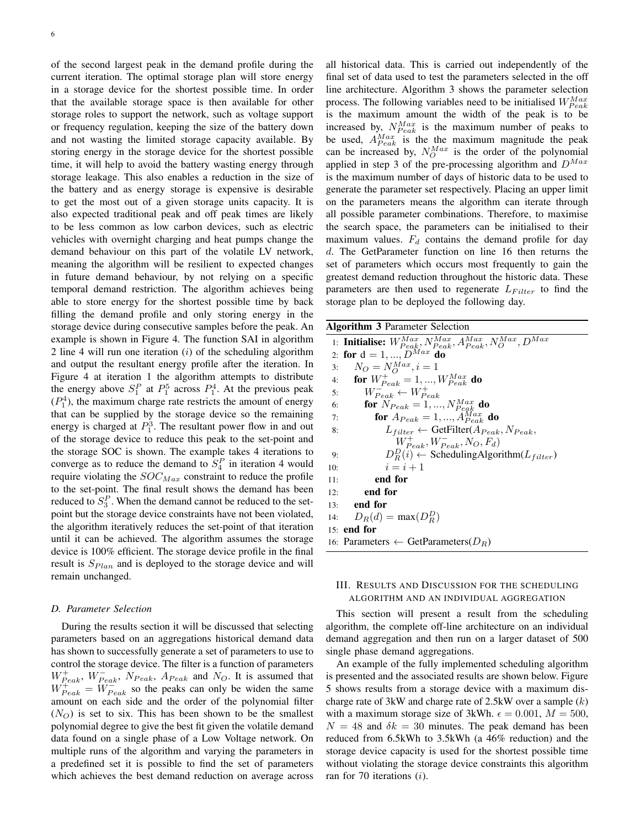of the second largest peak in the demand profile during the current iteration. The optimal storage plan will store energy in a storage device for the shortest possible time. In order that the available storage space is then available for other storage roles to support the network, such as voltage support or frequency regulation, keeping the size of the battery down and not wasting the limited storage capacity available. By storing energy in the storage device for the shortest possible time, it will help to avoid the battery wasting energy through storage leakage. This also enables a reduction in the size of the battery and as energy storage is expensive is desirable to get the most out of a given storage units capacity. It is also expected traditional peak and off peak times are likely to be less common as low carbon devices, such as electric vehicles with overnight charging and heat pumps change the demand behaviour on this part of the volatile LV network, meaning the algorithm will be resilient to expected changes in future demand behaviour, by not relying on a specific temporal demand restriction. The algorithm achieves being able to store energy for the shortest possible time by back filling the demand profile and only storing energy in the storage device during consecutive samples before the peak. An example is shown in Figure 4. The function SAI in algorithm 2 line 4 will run one iteration  $(i)$  of the scheduling algorithm and output the resultant energy profile after the iteration. In Figure 4 at iteration 1 the algorithm attempts to distribute the energy above  $S_1^P$  at  $P_1^5$  across  $P_1^4$ . At the previous peak  $(P_1^4)$ , the maximum charge rate restricts the amount of energy that can be supplied by the storage device so the remaining energy is charged at  $P_1^3$ . The resultant power flow in and out of the storage device to reduce this peak to the set-point and the storage SOC is shown. The example takes 4 iterations to converge as to reduce the demand to  $S_4^P$  in iteration 4 would require violating the  $SOC_{Max}$  constraint to reduce the profile to the set-point. The final result shows the demand has been reduced to  $S_3^P$ . When the demand cannot be reduced to the setpoint but the storage device constraints have not been violated, the algorithm iteratively reduces the set-point of that iteration until it can be achieved. The algorithm assumes the storage device is 100% efficient. The storage device profile in the final result is  $S_{Plan}$  and is deployed to the storage device and will remain unchanged.

# *D. Parameter Selection*

During the results section it will be discussed that selecting parameters based on an aggregations historical demand data has shown to successfully generate a set of parameters to use to control the storage device. The filter is a function of parameters  $W_{Peak}^+$ ,  $W_{Peak}^-$ ,  $N_{Peak}$ ,  $A_{Peak}$  and  $N_Q$ . It is assumed that  $W_{Peak}^{+} = W_{Peak}^{-}$  so the peaks can only be widen the same amount on each side and the order of the polynomial filter  $(N<sub>O</sub>)$  is set to six. This has been shown to be the smallest polynomial degree to give the best fit given the volatile demand data found on a single phase of a Low Voltage network. On multiple runs of the algorithm and varying the parameters in a predefined set it is possible to find the set of parameters which achieves the best demand reduction on average across all historical data. This is carried out independently of the final set of data used to test the parameters selected in the off line architecture. Algorithm 3 shows the parameter selection process. The following variables need to be initialised  $W_{Peak}^{Max}$ is the maximum amount the width of the peak is to be increased by,  $N_{Peak}^{Max}$  is the maximum number of peaks to be used,  $A_{Peak}^{Max}$  is the the maximum magnitude the peak can be increased by,  $N_O^{Max}$  is the order of the polynomial applied in step 3 of the pre-processing algorithm and  $D^{Max}$ is the maximum number of days of historic data to be used to generate the parameter set respectively. Placing an upper limit on the parameters means the algorithm can iterate through all possible parameter combinations. Therefore, to maximise the search space, the parameters can be initialised to their maximum values.  $F_d$  contains the demand profile for day d. The GetParameter function on line 16 then returns the set of parameters which occurs most frequently to gain the greatest demand reduction throughout the historic data. These parameters are then used to regenerate  $L_{Filter}$  to find the storage plan to be deployed the following day.

| <b>Algorithm 3</b> Parameter Selection                                              |  |  |
|-------------------------------------------------------------------------------------|--|--|
| 1: Initialise: $W_{Peak}^{Max}, N_{Peak}^{Max}, A_{Peak}^{Max}, N_O^{Max}, D^{Max}$ |  |  |
| 2: for $d = 1, , D^{Max}$ do                                                        |  |  |
| $N_Q = N_Q^{Max}, i = 1$<br>3:                                                      |  |  |
| for $W_{Peak}^{+} = 1, , W_{Peak}^{Max}$ do<br>4:                                   |  |  |
| $W_{Peak}^- \leftarrow W_{Peak}^+$<br>5:                                            |  |  |
| for $N_{Peak} = 1, , N_{Peak}^{Max}$ do<br>6:                                       |  |  |
| <b>for</b> $A_{Peak} = 1, , A_{Peak}^{Max}$ <b>do</b><br>7:                         |  |  |
| $L_{filter} \leftarrow \text{GetFilter}(A_{Peak}, N_{Peak},$<br>8:                  |  |  |
| $W^+_{\scriptscriptstyle{Peak}}, W^-_{\scriptscriptstyle{Peak}}, N_O, F_d)$         |  |  |
| $D_R^D(i) \leftarrow$ SchedulingAlgorithm( $L_{filter}$ )<br>9:                     |  |  |
| $i=i+1$<br>10:                                                                      |  |  |
| end for<br>11:                                                                      |  |  |
| end for<br>12:                                                                      |  |  |
| $13:$ end for                                                                       |  |  |
| 14: $D_R(d) = \max(D_R^D)$                                                          |  |  |
| $15:$ end for                                                                       |  |  |
| 16: Parameters $\leftarrow$ GetParameters( $D_R$ )                                  |  |  |

# III. RESULTS AND DISCUSSION FOR THE SCHEDULING ALGORITHM AND AN INDIVIDUAL AGGREGATION

This section will present a result from the scheduling algorithm, the complete off-line architecture on an individual demand aggregation and then run on a larger dataset of 500 single phase demand aggregations.

An example of the fully implemented scheduling algorithm is presented and the associated results are shown below. Figure 5 shows results from a storage device with a maximum discharge rate of 3kW and charge rate of 2.5kW over a sample  $(k)$ with a maximum storage size of 3kWh.  $\epsilon = 0.001, M = 500$ ,  $N = 48$  and  $\delta k = 30$  minutes. The peak demand has been reduced from 6.5kWh to 3.5kWh (a 46% reduction) and the storage device capacity is used for the shortest possible time without violating the storage device constraints this algorithm ran for 70 iterations (i).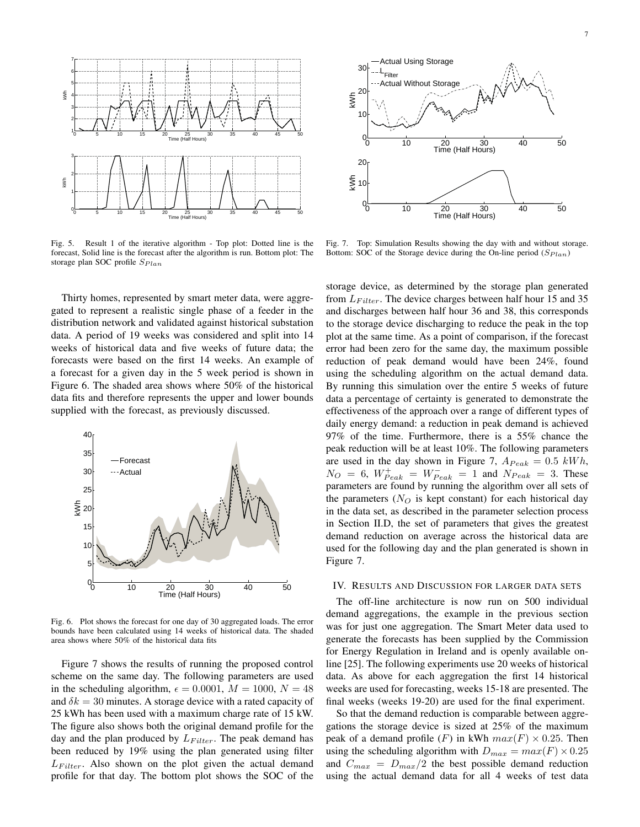

Fig. 5. Result 1 of the iterative algorithm - Top plot: Dotted line is the forecast, Solid line is the forecast after the algorithm is run. Bottom plot: The storage plan SOC profile  $S_{Plan}$ 

Thirty homes, represented by smart meter data, were aggregated to represent a realistic single phase of a feeder in the distribution network and validated against historical substation data. A period of 19 weeks was considered and split into 14 weeks of historical data and five weeks of future data; the forecasts were based on the first 14 weeks. An example of a forecast for a given day in the 5 week period is shown in Figure 6. The shaded area shows where 50% of the historical data fits and therefore represents the upper and lower bounds supplied with the forecast, as previously discussed.



Fig. 6. Plot shows the forecast for one day of 30 aggregated loads. The error bounds have been calculated using 14 weeks of historical data. The shaded area shows where 50% of the historical data fits

Figure 7 shows the results of running the proposed control scheme on the same day. The following parameters are used in the scheduling algorithm,  $\epsilon = 0.0001$ ,  $M = 1000$ ,  $N = 48$ and  $\delta k = 30$  minutes. A storage device with a rated capacity of 25 kWh has been used with a maximum charge rate of 15 kW. The figure also shows both the original demand profile for the day and the plan produced by  $L_{Filter}$ . The peak demand has been reduced by 19% using the plan generated using filter  $L_{Filter}$ . Also shown on the plot given the actual demand profile for that day. The bottom plot shows the SOC of the



Fig. 7. Top: Simulation Results showing the day with and without storage. Bottom: SOC of the Storage device during the On-line period  $(S_{Plan})$ 

storage device, as determined by the storage plan generated from  $L_{Filter}$ . The device charges between half hour 15 and 35 and discharges between half hour 36 and 38, this corresponds to the storage device discharging to reduce the peak in the top plot at the same time. As a point of comparison, if the forecast error had been zero for the same day, the maximum possible reduction of peak demand would have been 24%, found using the scheduling algorithm on the actual demand data. By running this simulation over the entire 5 weeks of future data a percentage of certainty is generated to demonstrate the effectiveness of the approach over a range of different types of daily energy demand: a reduction in peak demand is achieved 97% of the time. Furthermore, there is a 55% chance the peak reduction will be at least 10%. The following parameters are used in the day shown in Figure 7,  $A_{Peak} = 0.5$  kWh,  $N_O = 6$ ,  $W_{Peak}^+ = W_{Peak}^- = 1$  and  $N_{Peak} = 3$ . These parameters are found by running the algorithm over all sets of the parameters  $(N_O)$  is kept constant) for each historical day in the data set, as described in the parameter selection process in Section II.D, the set of parameters that gives the greatest demand reduction on average across the historical data are used for the following day and the plan generated is shown in Figure 7.

#### IV. RESULTS AND DISCUSSION FOR LARGER DATA SETS

The off-line architecture is now run on 500 individual demand aggregations, the example in the previous section was for just one aggregation. The Smart Meter data used to generate the forecasts has been supplied by the Commission for Energy Regulation in Ireland and is openly available online [25]. The following experiments use 20 weeks of historical data. As above for each aggregation the first 14 historical weeks are used for forecasting, weeks 15-18 are presented. The final weeks (weeks 19-20) are used for the final experiment.

So that the demand reduction is comparable between aggregations the storage device is sized at 25% of the maximum peak of a demand profile (F) in kWh  $max(F) \times 0.25$ . Then using the scheduling algorithm with  $D_{max} = max(F) \times 0.25$ and  $C_{max} = D_{max}/2$  the best possible demand reduction using the actual demand data for all 4 weeks of test data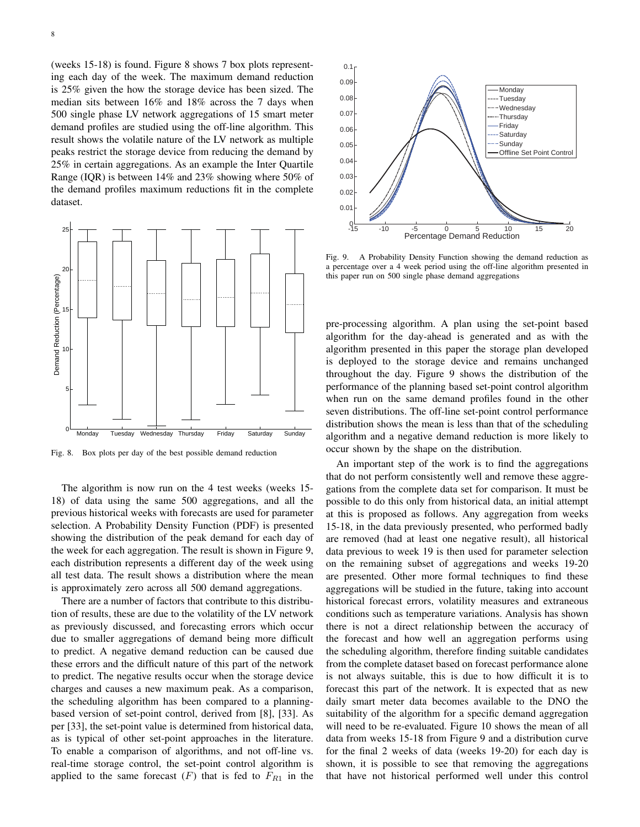(weeks 15-18) is found. Figure 8 shows 7 box plots representing each day of the week. The maximum demand reduction is 25% given the how the storage device has been sized. The median sits between 16% and 18% across the 7 days when 500 single phase LV network aggregations of 15 smart meter demand profiles are studied using the off-line algorithm. This result shows the volatile nature of the LV network as multiple peaks restrict the storage device from reducing the demand by 25% in certain aggregations. As an example the Inter Quartile Range (IQR) is between 14% and 23% showing where 50% of the demand profiles maximum reductions fit in the complete dataset.



Fig. 8. Box plots per day of the best possible demand reduction

The algorithm is now run on the 4 test weeks (weeks 15- 18) of data using the same 500 aggregations, and all the previous historical weeks with forecasts are used for parameter selection. A Probability Density Function (PDF) is presented showing the distribution of the peak demand for each day of the week for each aggregation. The result is shown in Figure 9, each distribution represents a different day of the week using all test data. The result shows a distribution where the mean is approximately zero across all 500 demand aggregations.

There are a number of factors that contribute to this distribution of results, these are due to the volatility of the LV network as previously discussed, and forecasting errors which occur due to smaller aggregations of demand being more difficult to predict. A negative demand reduction can be caused due these errors and the difficult nature of this part of the network to predict. The negative results occur when the storage device charges and causes a new maximum peak. As a comparison, the scheduling algorithm has been compared to a planningbased version of set-point control, derived from [8], [33]. As per [33], the set-point value is determined from historical data, as is typical of other set-point approaches in the literature. To enable a comparison of algorithms, and not off-line vs. real-time storage control, the set-point control algorithm is applied to the same forecast  $(F)$  that is fed to  $F_{R1}$  in the



Fig. 9. A Probability Density Function showing the demand reduction as a percentage over a 4 week period using the off-line algorithm presented in this paper run on 500 single phase demand aggregations

pre-processing algorithm. A plan using the set-point based algorithm for the day-ahead is generated and as with the algorithm presented in this paper the storage plan developed is deployed to the storage device and remains unchanged throughout the day. Figure 9 shows the distribution of the performance of the planning based set-point control algorithm when run on the same demand profiles found in the other seven distributions. The off-line set-point control performance distribution shows the mean is less than that of the scheduling algorithm and a negative demand reduction is more likely to occur shown by the shape on the distribution.

An important step of the work is to find the aggregations that do not perform consistently well and remove these aggregations from the complete data set for comparison. It must be possible to do this only from historical data, an initial attempt at this is proposed as follows. Any aggregation from weeks 15-18, in the data previously presented, who performed badly are removed (had at least one negative result), all historical data previous to week 19 is then used for parameter selection on the remaining subset of aggregations and weeks 19-20 are presented. Other more formal techniques to find these aggregations will be studied in the future, taking into account historical forecast errors, volatility measures and extraneous conditions such as temperature variations. Analysis has shown there is not a direct relationship between the accuracy of the forecast and how well an aggregation performs using the scheduling algorithm, therefore finding suitable candidates from the complete dataset based on forecast performance alone is not always suitable, this is due to how difficult it is to forecast this part of the network. It is expected that as new daily smart meter data becomes available to the DNO the suitability of the algorithm for a specific demand aggregation will need to be re-evaluated. Figure 10 shows the mean of all data from weeks 15-18 from Figure 9 and a distribution curve for the final 2 weeks of data (weeks 19-20) for each day is shown, it is possible to see that removing the aggregations that have not historical performed well under this control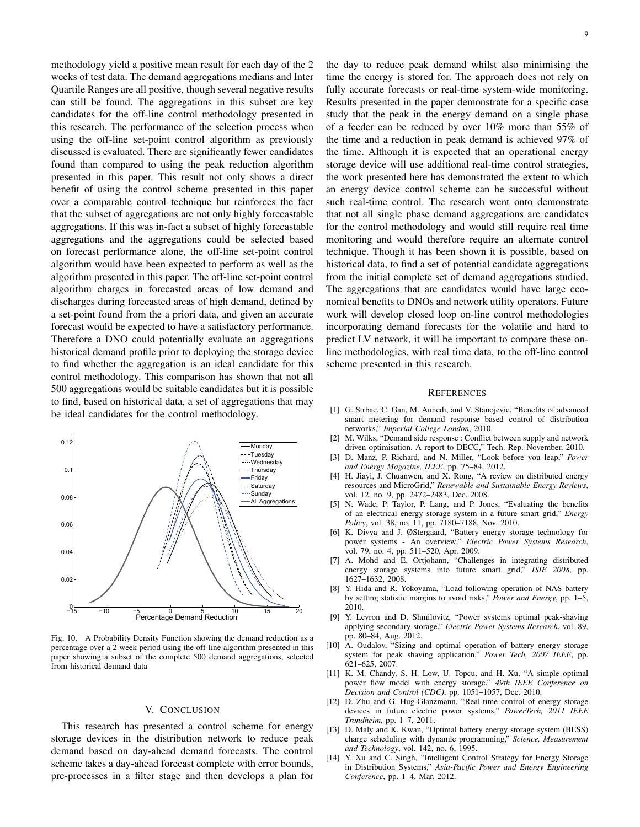methodology yield a positive mean result for each day of the 2 weeks of test data. The demand aggregations medians and Inter Quartile Ranges are all positive, though several negative results can still be found. The aggregations in this subset are key candidates for the off-line control methodology presented in this research. The performance of the selection process when using the off-line set-point control algorithm as previously discussed is evaluated. There are significantly fewer candidates found than compared to using the peak reduction algorithm presented in this paper. This result not only shows a direct benefit of using the control scheme presented in this paper over a comparable control technique but reinforces the fact that the subset of aggregations are not only highly forecastable aggregations. If this was in-fact a subset of highly forecastable aggregations and the aggregations could be selected based on forecast performance alone, the off-line set-point control algorithm would have been expected to perform as well as the algorithm presented in this paper. The off-line set-point control algorithm charges in forecasted areas of low demand and discharges during forecasted areas of high demand, defined by a set-point found from the a priori data, and given an accurate forecast would be expected to have a satisfactory performance. Therefore a DNO could potentially evaluate an aggregations historical demand profile prior to deploying the storage device to find whether the aggregation is an ideal candidate for this control methodology. This comparison has shown that not all 500 aggregations would be suitable candidates but it is possible to find, based on historical data, a set of aggregations that may be ideal candidates for the control methodology.



Fig. 10. A Probability Density Function showing the demand reduction as a percentage over a 2 week period using the off-line algorithm presented in this paper showing a subset of the complete 500 demand aggregations, selected from historical demand data

#### V. CONCLUSION

This research has presented a control scheme for energy storage devices in the distribution network to reduce peak demand based on day-ahead demand forecasts. The control scheme takes a day-ahead forecast complete with error bounds, pre-processes in a filter stage and then develops a plan for the day to reduce peak demand whilst also minimising the time the energy is stored for. The approach does not rely on fully accurate forecasts or real-time system-wide monitoring. Results presented in the paper demonstrate for a specific case study that the peak in the energy demand on a single phase of a feeder can be reduced by over 10% more than 55% of the time and a reduction in peak demand is achieved 97% of the time. Although it is expected that an operational energy storage device will use additional real-time control strategies, the work presented here has demonstrated the extent to which an energy device control scheme can be successful without such real-time control. The research went onto demonstrate that not all single phase demand aggregations are candidates for the control methodology and would still require real time monitoring and would therefore require an alternate control technique. Though it has been shown it is possible, based on historical data, to find a set of potential candidate aggregations from the initial complete set of demand aggregations studied. The aggregations that are candidates would have large economical benefits to DNOs and network utility operators. Future work will develop closed loop on-line control methodologies incorporating demand forecasts for the volatile and hard to predict LV network, it will be important to compare these online methodologies, with real time data, to the off-line control scheme presented in this research.

#### REFERENCES

- [1] G. Strbac, C. Gan, M. Aunedi, and V. Stanojevic, "Benefits of advanced smart metering for demand response based control of distribution networks," *Imperial College London*, 2010.
- [2] M. Wilks, "Demand side response : Conflict between supply and network driven optimisation. A report to DECC," Tech. Rep. November, 2010.
- [3] D. Manz, P. Richard, and N. Miller, "Look before you leap," *Power and Energy Magazine, IEEE*, pp. 75–84, 2012.
- [4] H. Jiayi, J. Chuanwen, and X. Rong, "A review on distributed energy resources and MicroGrid," *Renewable and Sustainable Energy Reviews*, vol. 12, no. 9, pp. 2472–2483, Dec. 2008.
- [5] N. Wade, P. Taylor, P. Lang, and P. Jones, "Evaluating the benefits of an electrical energy storage system in a future smart grid," *Energy Policy*, vol. 38, no. 11, pp. 7180–7188, Nov. 2010.
- [6] K. Divya and J. ØStergaard, "Battery energy storage technology for power systems - An overview," *Electric Power Systems Research*, vol. 79, no. 4, pp. 511–520, Apr. 2009.
- [7] A. Mohd and E. Ortjohann, "Challenges in integrating distributed energy storage systems into future smart grid," *ISIE 2008*, pp. 1627–1632, 2008.
- [8] Y. Hida and R. Yokoyama, "Load following operation of NAS battery by setting statistic margins to avoid risks," *Power and Energy*, pp. 1–5, 2010.
- [9] Y. Levron and D. Shmilovitz, "Power systems optimal peak-shaving applying secondary storage," *Electric Power Systems Research*, vol. 89, pp. 80–84, Aug. 2012.
- [10] A. Oudalov, "Sizing and optimal operation of battery energy storage system for peak shaving application," *Power Tech, 2007 IEEE*, pp. 621–625, 2007.
- [11] K. M. Chandy, S. H. Low, U. Topcu, and H. Xu, "A simple optimal power flow model with energy storage," *49th IEEE Conference on Decision and Control (CDC)*, pp. 1051–1057, Dec. 2010.
- [12] D. Zhu and G. Hug-Glanzmann, "Real-time control of energy storage devices in future electric power systems," *PowerTech, 2011 IEEE Trondheim*, pp. 1–7, 2011.
- [13] D. Maly and K. Kwan, "Optimal battery energy storage system (BESS) charge scheduling with dynamic programming," *Science, Measurement and Technology*, vol. 142, no. 6, 1995.
- [14] Y. Xu and C. Singh, "Intelligent Control Strategy for Energy Storage in Distribution Systems," *Asia-Pacific Power and Energy Engineering Conference*, pp. 1–4, Mar. 2012.